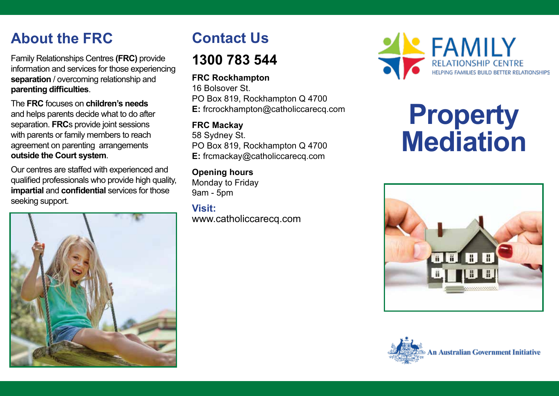# **About the FRC**

Family Relationships Centres **(FRC)** provide information and services for those experiencing **separation** / overcoming relationship and **parenting difficulties**.

The **FRC** focuses on **children's needs** and helps parents decide what to do after separation. **FRC**s provide joint sessions with parents or family members to reach agreement on parenting arrangements **outside the Court system**.

Our centres are staffed with experienced and qualified professionals who provide high quality, **impartial** and **confidential** services for those seeking support.



# **Contact Us**

# **1300 783 544**

## **FRC Rockhampton**

16 Bolsover St. PO Box 819, Rockhampton Q 4700 **E:** frcrockhampton@catholiccarecq.com

## **FRC Mackay**

58 Sydney St. PO Box 819, Rockhampton Q 4700 **E:** frcmackay@catholiccarecq.com

## **Opening hours**

Monday to Friday 9am - 5pm

## **Visit:** www.catholiccarecq.com



# **Property Mediation**